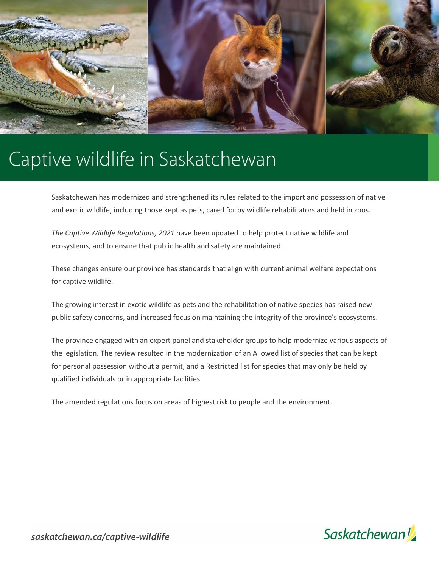

# Captive wildlife in Saskatchewan

Saskatchewan has modernized and strengthened its rules related to the import and possession of native and exotic wildlife, including those kept as pets, cared for by wildlife rehabilitators and held in zoos.

*The Captive Wildlife Regulations, 2021* have been updated to help protect native wildlife and ecosystems, and to ensure that public health and safety are maintained.

These changes ensure our province has standards that align with current animal welfare expectations for captive wildlife.

The growing interest in exotic wildlife as pets and the rehabilitation of native species has raised new public safety concerns, and increased focus on maintaining the integrity of the province's ecosystems.

The province engaged with an expert panel and stakeholder groups to help modernize various aspects of the legislation. The review resulted in the modernization of an Allowed list of species that can be kept for personal possession without a permit, and a Restricted list for species that may only be held by qualified individuals or in appropriate facilities.

The amended regulations focus on areas of highest risk to people and the environment.

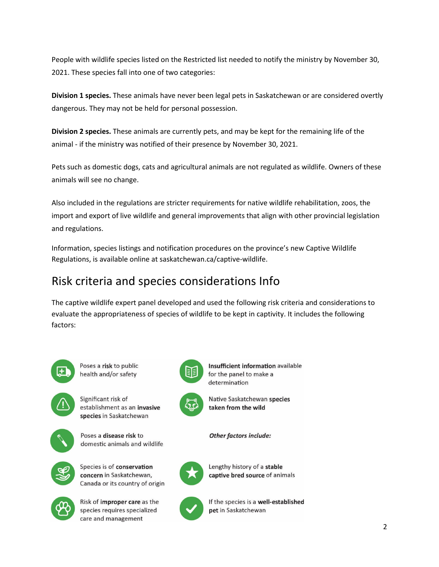People with wildlife species listed on the Restricted list needed to notify the ministry by November 30, 2021. These species fall into one of two categories:

**Division 1 species.** These animals have never been legal pets in Saskatchewan or are considered overtly dangerous. They may not be held for personal possession.

**Division 2 species.** These animals are currently pets, and may be kept for the remaining life of the animal - if the ministry was notified of their presence by November 30, 2021.

Pets such as domestic dogs, cats and agricultural animals are not regulated as wildlife. Owners of these animals will see no change.

Also included in the regulations are stricter requirements for native wildlife rehabilitation, zoos, the import and export of live wildlife and general improvements that align with other provincial legislation and regulations.

Information, species listings and notification procedures on the province's new Captive Wildlife Regulations, is available online at saskatchewan.ca/captive-wildlife.

# Risk criteria and species considerations Info

The captive wildlife expert panel developed and used the following risk criteria and considerations to evaluate the appropriateness of species of wildlife to be kept in captivity. It includes the following factors:



Poses a risk to public health and/or safety



Significant risk of establishment as an invasive species in Saskatchewan



Poses a disease risk to domestic animals and wildlife



Species is of conservation concern in Saskatchewan, Canada or its country of origin



Risk of **improper care** as the species requires specialized care and management



Insufficient information available for the panel to make a determination

Native Saskatchewan species taken from the wild

**Other factors include:** 



Lengthy history of a stable captive bred source of animals



If the species is a well-established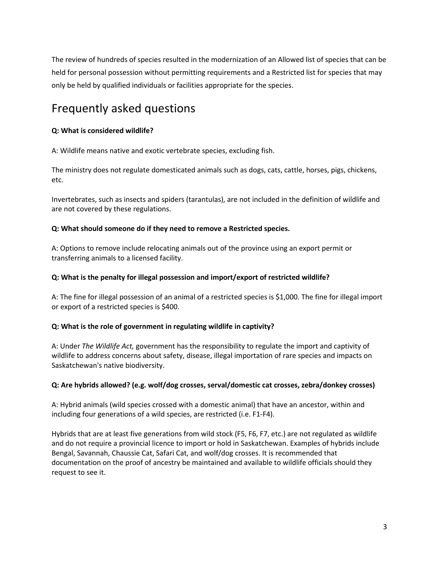The review of hundreds of species resulted in the modernization of an Allowed list of species that can be held for personal possession without permitting requirements and a Restricted list for species that may only be held by qualified individuals or facilities appropriate for the species.

# Frequently asked questions

# **Q: What is considered wildlife?**

A: Wildlife means native and exotic vertebrate species, excluding fish.

The ministry does not regulate domesticated animals such as dogs, cats, cattle, horses, pigs, chickens, etc.

Invertebrates, such as insects and spiders (tarantulas), are not included in the definition of wildlife and are not covered by these regulations.

# **Q: What should someone do if they need to remove a Restricted species.**

A: Options to remove include relocating animals out of the province using an export permit or transferring animals to a licensed facility.

# **Q: What is the penalty for illegal possession and import/export of restricted wildlife?**

A: The fine for illegal possession of an animal of a restricted species is \$1,000. The fine for illegal import or export of a restricted species is \$400.

# **Q: What is the role of government in regulating wildlife in captivity?**

A: Under *The Wildlife Act,* government has the responsibility to regulate the import and captivity of wildlife to address concerns about safety, disease, illegal importation of rare species and impacts on Saskatchewan's native biodiversity.

#### **Q: Are hybrids allowed? (e.g. wolf/dog crosses, serval/domestic cat crosses, zebra/donkey crosses)**

A: Hybrid animals (wild species crossed with a domestic animal) that have an ancestor, within and including four generations of a wild species, are restricted (i.e. F1-F4).

Hybrids that are at least five generations from wild stock (F5, F6, F7, etc.) are not regulated as wildlife and do not require a provincial licence to import or hold in Saskatchewan. Examples of hybrids include Bengal, Savannah, Chaussie Cat, Safari Cat, and wolf/dog crosses. It is recommended that documentation on the proof of ancestry be maintained and available to wildlife officials should they request to see it.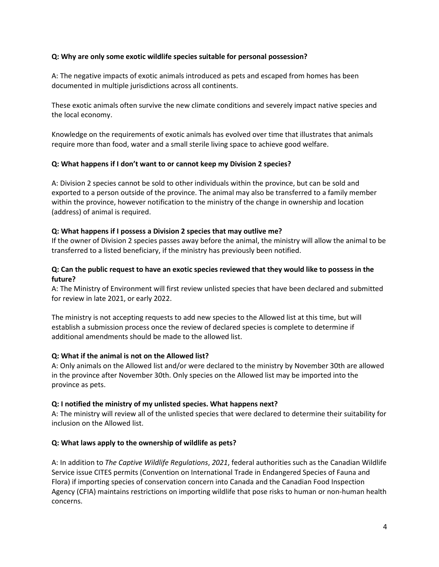#### **Q: Why are only some exotic wildlife species suitable for personal possession?**

A: The negative impacts of exotic animals introduced as pets and escaped from homes has been documented in multiple jurisdictions across all continents.

These exotic animals often survive the new climate conditions and severely impact native species and the local economy.

Knowledge on the requirements of exotic animals has evolved over time that illustrates that animals require more than food, water and a small sterile living space to achieve good welfare.

# **Q: What happens if I don't want to or cannot keep my Division 2 species?**

A: Division 2 species cannot be sold to other individuals within the province, but can be sold and exported to a person outside of the province. The animal may also be transferred to a family member within the province, however notification to the ministry of the change in ownership and location (address) of animal is required.

#### **Q: What happens if I possess a Division 2 species that may outlive me?**

If the owner of Division 2 species passes away before the animal, the ministry will allow the animal to be transferred to a listed beneficiary, if the ministry has previously been notified.

# **Q: Can the public request to have an exotic species reviewed that they would like to possess in the future?**

A: The Ministry of Environment will first review unlisted species that have been declared and submitted for review in late 2021, or early 2022.

The ministry is not accepting requests to add new species to the Allowed list at this time, but will establish a submission process once the review of declared species is complete to determine if additional amendments should be made to the allowed list.

#### **Q: What if the animal is not on the Allowed list?**

A: Only animals on the Allowed list and/or were declared to the ministry by November 30th are allowed in the province after November 30th. Only species on the Allowed list may be imported into the province as pets.

#### **Q: I notified the ministry of my unlisted species. What happens next?**

A: The ministry will review all of the unlisted species that were declared to determine their suitability for inclusion on the Allowed list.

#### **Q: What laws apply to the ownership of wildlife as pets?**

A: In addition to *The Captive Wildlife Regulations*, *2021*, federal authorities such as the Canadian Wildlife Service issue CITES permits (Convention on International Trade in Endangered Species of Fauna and Flora) if importing species of conservation concern into Canada and the Canadian Food Inspection Agency (CFIA) maintains restrictions on importing wildlife that pose risks to human or non-human health concerns.